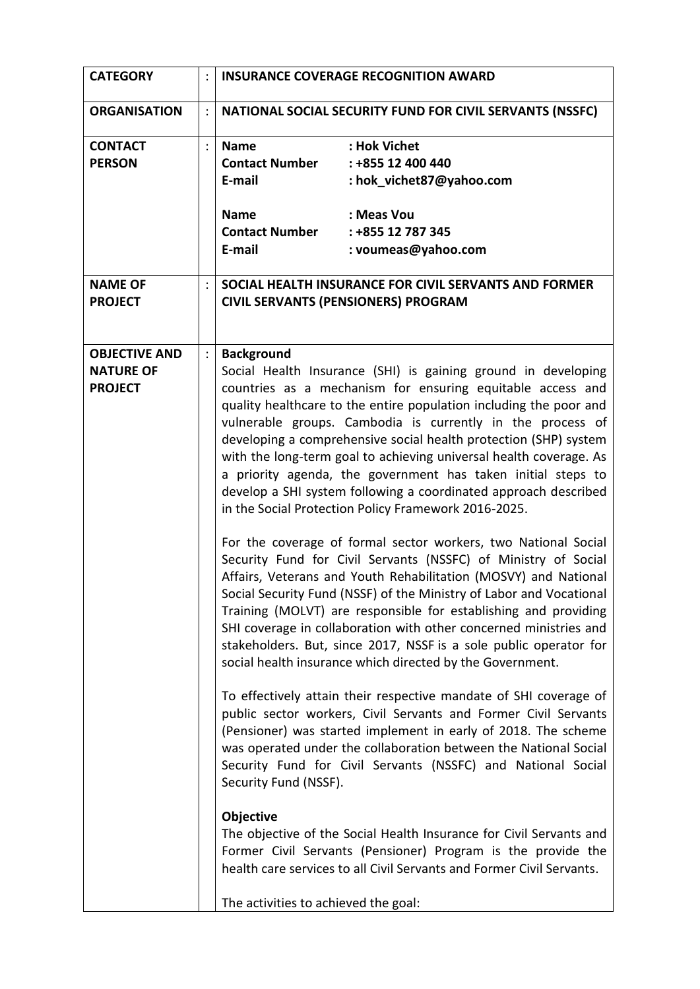| <b>CATEGORY</b>                                            | <b>INSURANCE COVERAGE RECOGNITION AWARD</b>                                                                                                                                                                                                                                                                                                                                                                                                                                                                                                                                                                                                                                                                                                                                                                                                                                                                                                                                                                                                                                                                                                                                                                                                                                                                                                                                                                                                                                                                                                                                                                                                                                                                                                                                           |                                                                                                                         |
|------------------------------------------------------------|---------------------------------------------------------------------------------------------------------------------------------------------------------------------------------------------------------------------------------------------------------------------------------------------------------------------------------------------------------------------------------------------------------------------------------------------------------------------------------------------------------------------------------------------------------------------------------------------------------------------------------------------------------------------------------------------------------------------------------------------------------------------------------------------------------------------------------------------------------------------------------------------------------------------------------------------------------------------------------------------------------------------------------------------------------------------------------------------------------------------------------------------------------------------------------------------------------------------------------------------------------------------------------------------------------------------------------------------------------------------------------------------------------------------------------------------------------------------------------------------------------------------------------------------------------------------------------------------------------------------------------------------------------------------------------------------------------------------------------------------------------------------------------------|-------------------------------------------------------------------------------------------------------------------------|
| <b>ORGANISATION</b>                                        | NATIONAL SOCIAL SECURITY FUND FOR CIVIL SERVANTS (NSSFC)                                                                                                                                                                                                                                                                                                                                                                                                                                                                                                                                                                                                                                                                                                                                                                                                                                                                                                                                                                                                                                                                                                                                                                                                                                                                                                                                                                                                                                                                                                                                                                                                                                                                                                                              |                                                                                                                         |
| <b>CONTACT</b><br><b>PERSON</b>                            | <b>Name</b><br><b>Contact Number</b><br>E-mail<br><b>Name</b><br><b>Contact Number</b><br>E-mail                                                                                                                                                                                                                                                                                                                                                                                                                                                                                                                                                                                                                                                                                                                                                                                                                                                                                                                                                                                                                                                                                                                                                                                                                                                                                                                                                                                                                                                                                                                                                                                                                                                                                      | : Hok Vichet<br>: +855 12 400 440<br>: hok_vichet87@yahoo.com<br>: Meas Vou<br>: +855 12 787 345<br>: voumeas@yahoo.com |
| <b>NAME OF</b><br><b>PROJECT</b>                           |                                                                                                                                                                                                                                                                                                                                                                                                                                                                                                                                                                                                                                                                                                                                                                                                                                                                                                                                                                                                                                                                                                                                                                                                                                                                                                                                                                                                                                                                                                                                                                                                                                                                                                                                                                                       | SOCIAL HEALTH INSURANCE FOR CIVIL SERVANTS AND FORMER<br><b>CIVIL SERVANTS (PENSIONERS) PROGRAM</b>                     |
| <b>OBJECTIVE AND</b><br><b>NATURE OF</b><br><b>PROJECT</b> | <b>Background</b><br>Social Health Insurance (SHI) is gaining ground in developing<br>countries as a mechanism for ensuring equitable access and<br>quality healthcare to the entire population including the poor and<br>vulnerable groups. Cambodia is currently in the process of<br>developing a comprehensive social health protection (SHP) system<br>with the long-term goal to achieving universal health coverage. As<br>a priority agenda, the government has taken initial steps to<br>develop a SHI system following a coordinated approach described<br>in the Social Protection Policy Framework 2016-2025.<br>For the coverage of formal sector workers, two National Social<br>Security Fund for Civil Servants (NSSFC) of Ministry of Social<br>Affairs, Veterans and Youth Rehabilitation (MOSVY) and National<br>Social Security Fund (NSSF) of the Ministry of Labor and Vocational<br>Training (MOLVT) are responsible for establishing and providing<br>SHI coverage in collaboration with other concerned ministries and<br>stakeholders. But, since 2017, NSSF is a sole public operator for<br>social health insurance which directed by the Government.<br>To effectively attain their respective mandate of SHI coverage of<br>public sector workers, Civil Servants and Former Civil Servants<br>(Pensioner) was started implement in early of 2018. The scheme<br>was operated under the collaboration between the National Social<br>Security Fund for Civil Servants (NSSFC) and National Social<br>Security Fund (NSSF).<br>Objective<br>The objective of the Social Health Insurance for Civil Servants and<br>Former Civil Servants (Pensioner) Program is the provide the<br>health care services to all Civil Servants and Former Civil Servants. |                                                                                                                         |